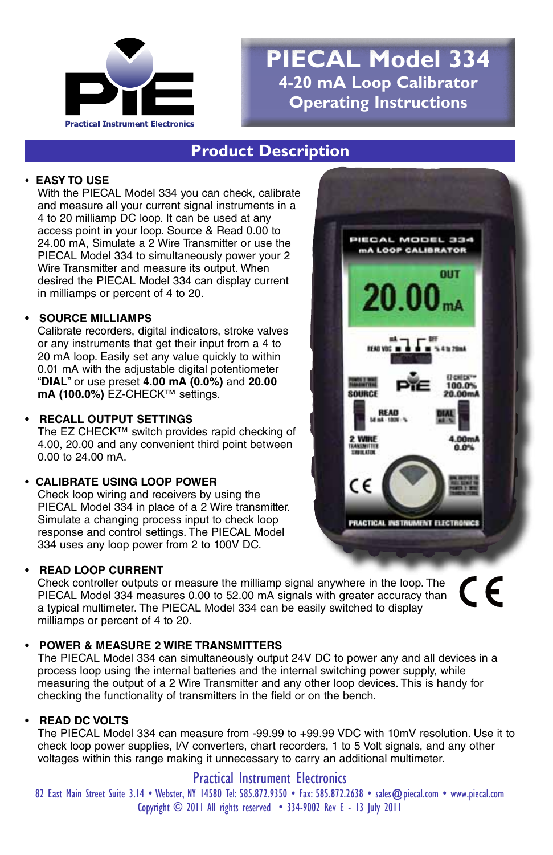

# **PIECAL Model 334 4-20 mA Loop Calibrator Operating Instructions**

### **Product Description**

### **• EASY TO USE**

With the PIECAL Model 334 you can check, calibrate and measure all your current signal instruments in a 4 to 20 milliamp DC loop. It can be used at any access point in your loop. Source & Read 0.00 to 24.00 mA, Simulate a 2 Wire Transmitter or use the PIECAL Model 334 to simultaneously power your 2 Wire Transmitter and measure its output. When desired the PIECAL Model 334 can display current in milliamps or percent of 4 to 20.

#### **• SOURCE MILLIAMPS**

Calibrate recorders, digital indicators, stroke valves or any instruments that get their input from a 4 to 20 mA loop. Easily set any value quickly to within 0.01 mA with the adjustable digital potentiometer "**DIAL**" or use preset **4.00 mA (0.0%)** and **20.00 mA (100.0%)** EZ-CHECK™ settings.

#### **• RECALL OUTPUT SETTINGS**

The EZ CHECK™ switch provides rapid checking of 4.00, 20.00 and any convenient third point between 0.00 to 24.00 mA.

#### **• CALIBRATE USING LOOP POWER**

Check loop wiring and receivers by using the PIECAL Model 334 in place of a 2 Wire transmitter. Simulate a changing process input to check loop response and control settings. The PIECAL Model 334 uses any loop power from 2 to 100V DC.

### **• READ LOOP CURRENT**

Check controller outputs or measure the milliamp signal anywhere in the loop. The PIECAL Model 334 measures 0.00 to 52.00 mA signals with greater accuracy than a typical multimeter. The PIECAL Model 334 can be easily switched to display milliamps or percent of 4 to 20.

#### **• POWER & MEASURE 2 WIRE TRANSMITTERS**

The PIECAL Model 334 can simultaneously output 24V DC to power any and all devices in a process loop using the internal batteries and the internal switching power supply, while measuring the output of a 2 Wire Transmitter and any other loop devices. This is handy for checking the functionality of transmitters in the field or on the bench.

#### **• READ DC VOLTS**

The PIECAL Model 334 can measure from -99.99 to +99.99 VDC with 10mV resolution. Use it to check loop power supplies, I/V converters, chart recorders, 1 to 5 Volt signals, and any other voltages within this range making it unnecessary to carry an additional multimeter.

### Practical Instrument Electronics

82 East Main Street Suite 3.14 • Webster, NY 14580 Tel: 585.872.9350 • Fax: 585.872.2638 • sales@piecal.com • www.piecal.com Copyright © 2011 All rights reserved • 334-9002 Rev E - 13 July 2011



CE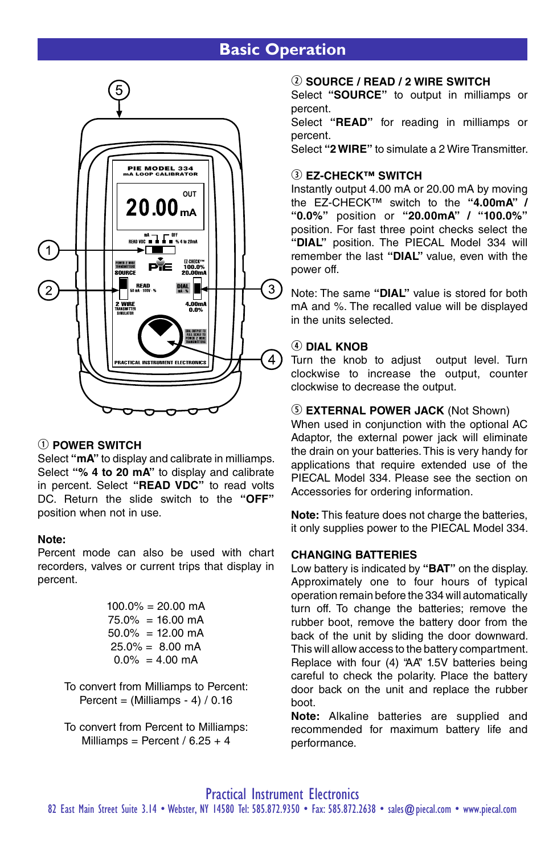## **Basic Operation**



#### q **POWER SWITCH**

Select **"mA"** to display and calibrate in milliamps. Select **"% 4 to 20 mA"** to display and calibrate in percent. Select **"READ VDC"** to read volts DC. Return the slide switch to the **"OFF"** position when not in use.

#### **Note:**

Percent mode can also be used with chart recorders, valves or current trips that display in percent.

|  | $100.0\% = 20.00 \text{ mA}$ |
|--|------------------------------|
|  | $75.0\% = 16.00 \text{ mA}$  |
|  | $50.0\% = 12.00 \text{ mA}$  |
|  | $25.0\% = 8.00 \text{ mA}$   |
|  | $0.0\% = 4.00 \text{ mA}$    |

To convert from Milliamps to Percent: Percent =  $(Milliamps - 4) / 0.16$ 

To convert from Percent to Milliamps: Milliamps = Percent /  $6.25 + 4$ 

### w **SOURCE / READ / 2 WIRE SWITCH**

Select **"SOURCE"** to output in milliamps or percent.

Select **"READ"** for reading in milliamps or percent.

Select **"2 WIRE"** to simulate a 2 Wire Transmitter.

#### **<b>(3) FZ-CHECK™ SWITCH**

Instantly output 4.00 mA or 20.00 mA by moving the EZ-CHECK™ switch to the **"4.00mA" / "0.0%"** position or **"20.00mA" / "100.0%"** position. For fast three point checks select the **"DIAL"** position. The PIECAL Model 334 will remember the last **"DIAL"** value, even with the power off.

Note: The same **"DIAL"** value is stored for both mA and %. The recalled value will be displayed in the units selected.

#### **4** DIAL KNOB

Turn the knob to adjust output level. Turn clockwise to increase the output, counter clockwise to decrease the output.

#### **5 EXTERNAL POWER JACK (Not Shown)**

When used in conjunction with the optional AC Adaptor, the external power jack will eliminate the drain on your batteries. This is very handy for applications that require extended use of the PIECAL Model 334. Please see the section on Accessories for ordering information.

**Note:** This feature does not charge the batteries, it only supplies power to the PIECAL Model 334.

#### **CHANGING BATTERIES**

Low battery is indicated by **"BAT"** on the display. Approximately one to four hours of typical operation remain before the 334 will automatically turn off. To change the batteries; remove the rubber boot, remove the battery door from the back of the unit by sliding the door downward. This will allow access to the battery compartment. Replace with four (4) "AA" 1.5V batteries being careful to check the polarity. Place the battery door back on the unit and replace the rubber boot.

**Note:** Alkaline batteries are supplied and recommended for maximum battery life and performance.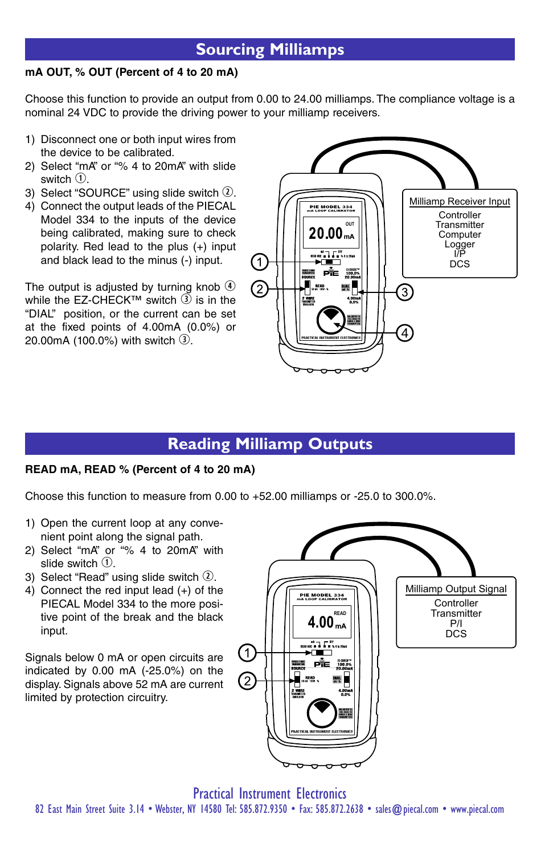## **Sourcing Milliamps**

### **mA OUT, % OUT (Percent of 4 to 20 mA)**

Choose this function to provide an output from 0.00 to 24.00 milliamps. The compliance voltage is a nominal 24 VDC to provide the driving power to your milliamp receivers.

- 1) Disconnect one or both input wires from the device to be calibrated.
- 2) Select "mA" or "% 4 to 20mA" with slide switch  $\Omega$ .
- 3) Select "SOURCE" using slide switch  $Q$ .
- 4) Connect the output leads of the PIECAL Model 334 to the inputs of the device being calibrated, making sure to check polarity. Red lead to the plus (+) input and black lead to the minus (-) input.

The output is adjusted by turning knob  $\Phi$ while the  $FZ-CHFCK^{TM}$  switch  $\widetilde{3)}$  is in the "DIAL" position, or the current can be set at the fixed points of 4.00mA (0.0%) or 20.00mA (100.0%) with switch  $\mathcal{D}$ .



## **Reading Milliamp Outputs**

#### **READ mA, READ % (Percent of 4 to 20 mA)**

Choose this function to measure from 0.00 to +52.00 milliamps or -25.0 to 300.0%.

- 1) Open the current loop at any convenient point along the signal path.
- 2) Select "mA" or "% 4 to 20mA" with slide switch  $(1)$ .
- 3) Select "Read" using slide switch  $\Omega$ .
- 4) Connect the red input lead (+) of the PIECAL Model 334 to the more positive point of the break and the black input.

Signals below 0 mA or open circuits are indicated by 0.00 mA (-25.0%) on the display. Signals above 52 mA are current limited by protection circuitry.

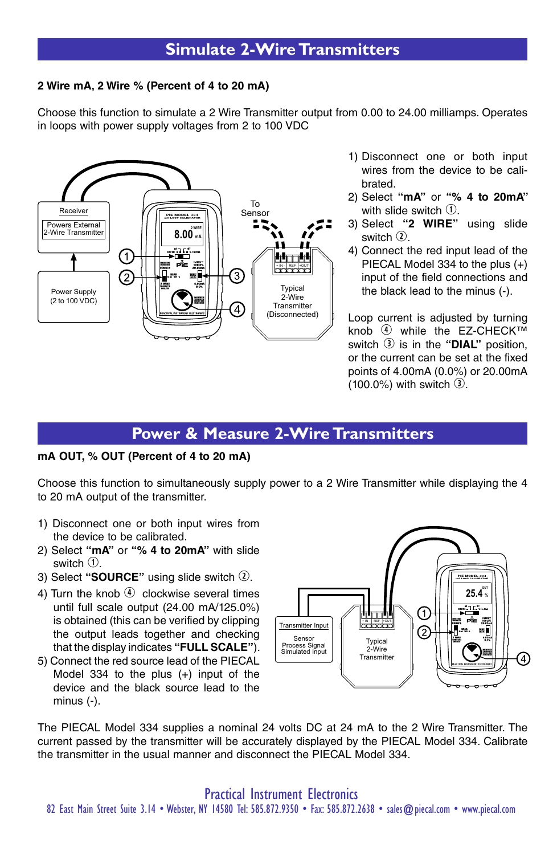## **Simulate 2-Wire Transmitters**

#### **2 Wire mA, 2 Wire % (Percent of 4 to 20 mA)**

Choose this function to simulate a 2 Wire Transmitter output from 0.00 to 24.00 milliamps. Operates in loops with power supply voltages from 2 to 100 VDC



- 1) Disconnect one or both input wires from the device to be calibrated.
- 2) Select **"mA"** or **"% 4 to 20mA"**  with slide switch  $\textcircled{1}$ .
- 3) Select **"2 WIRE"** using slide switch  $\Omega$ .
- 4) Connect the red input lead of the PIECAL Model 334 to the plus (+) input of the field connections and the black lead to the minus (-).

Loop current is adjusted by turning knob  $\Phi$  while the EZ-CHECK™ switch  $\circled{3}$  is in the "DIAL" position, or the current can be set at the fixed points of 4.00mA (0.0%) or 20.00mA  $(100.0\%)$  with switch  $\Omega$ .

### **Power & Measure 2-Wire Transmitters**

#### **mA OUT, % OUT (Percent of 4 to 20 mA)**

Choose this function to simultaneously supply power to a 2 Wire Transmitter while displaying the 4 to 20 mA output of the transmitter.

- 1) Disconnect one or both input wires from the device to be calibrated.
- 2) Select **"mA"** or **"% 4 to 20mA"** with slide switch  $\mathcal{D}$ .
- 3) Select "SOURCE" using slide switch 2.
- 4) Turn the knob  $\left( \widehat{A} \right)$  clockwise several times until full scale output (24.00 mA/125.0%) is obtained (this can be verified by clipping the output leads together and checking that the display indicates **"FULL SCALE"**).
- 5) Connect the red source lead of the PIECAL Model 334 to the plus (+) input of the device and the black source lead to the minus (-).



The PIECAL Model 334 supplies a nominal 24 volts DC at 24 mA to the 2 Wire Transmitter. The current passed by the transmitter will be accurately displayed by the PIECAL Model 334. Calibrate the transmitter in the usual manner and disconnect the PIECAL Model 334.

Practical Instrument Electronics 82 East Main Street Suite 3.14 • Webster, NY 14580 Tel: 585.872.9350 • Fax: 585.872.2638 • sales@piecal.com • www.piecal.com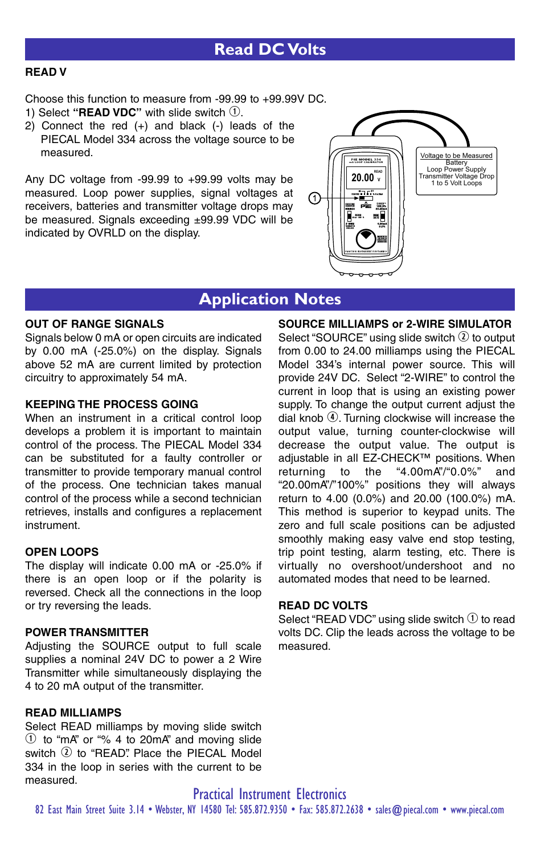### **READ V**

Choose this function to measure from -99.99 to +99.99V DC.

- 1) Select "**READ VDC**" with slide switch  $\mathcal{D}$ .
- 2) Connect the red (+) and black (-) leads of the PIECAL Model 334 across the voltage source to be measured.

Any DC voltage from -99.99 to +99.99 volts may be measured. Loop power supplies, signal voltages at receivers, batteries and transmitter voltage drops may be measured. Signals exceeding ±99.99 VDC will be indicated by OVRLD on the display.



## **Application Notes**

### **OUT OF RANGE SIGNALS**

Signals below 0 mA or open circuits are indicated by 0.00 mA (-25.0%) on the display. Signals above 52 mA are current limited by protection circuitry to approximately 54 mA.

#### **KEEPING THE PROCESS GOING**

When an instrument in a critical control loop develops a problem it is important to maintain control of the process. The PIECAL Model 334 can be substituted for a faulty controller or transmitter to provide temporary manual control of the process. One technician takes manual control of the process while a second technician retrieves, installs and configures a replacement instrument.

### **OPEN LOOPS**

The display will indicate 0.00 mA or -25.0% if there is an open loop or if the polarity is reversed. Check all the connections in the loop or try reversing the leads.

#### **POWER TRANSMITTER**

Adjusting the SOURCE output to full scale supplies a nominal 24V DC to power a 2 Wire Transmitter while simultaneously displaying the 4 to 20 mA output of the transmitter.

#### **READ MILLIAMPS**

Select READ milliamps by moving slide switch  $\Omega$  to "mA" or "% 4 to 20mA" and moving slide switch  $(2)$  to "READ". Place the PIECAL Model 334 in the loop in series with the current to be measured.

#### **SOURCE MILLIAMPS or 2-WIRE SIMULATOR**

Select "SOURCE" using slide switch  $Q$  to output from 0.00 to 24.00 milliamps using the PIECAL Model 334's internal power source. This will provide 24V DC. Select "2-WIRE" to control the current in loop that is using an existing power supply. To change the output current adjust the dial knob  $\Phi$ . Turning clockwise will increase the output value, turning counter-clockwise will decrease the output value. The output is adjustable in all EZ-CHECK™ positions. When returning to the "4.00mA"/"0.0%" and "20.00mA"/"100%" positions they will always return to 4.00 (0.0%) and 20.00 (100.0%) mA. This method is superior to keypad units. The zero and full scale positions can be adjusted smoothly making easy valve end stop testing, trip point testing, alarm testing, etc. There is virtually no overshoot/undershoot and no automated modes that need to be learned.

#### **READ DC VOLTS**

Select "READ VDC" using slide switch  $\odot$  to read volts DC. Clip the leads across the voltage to be measured.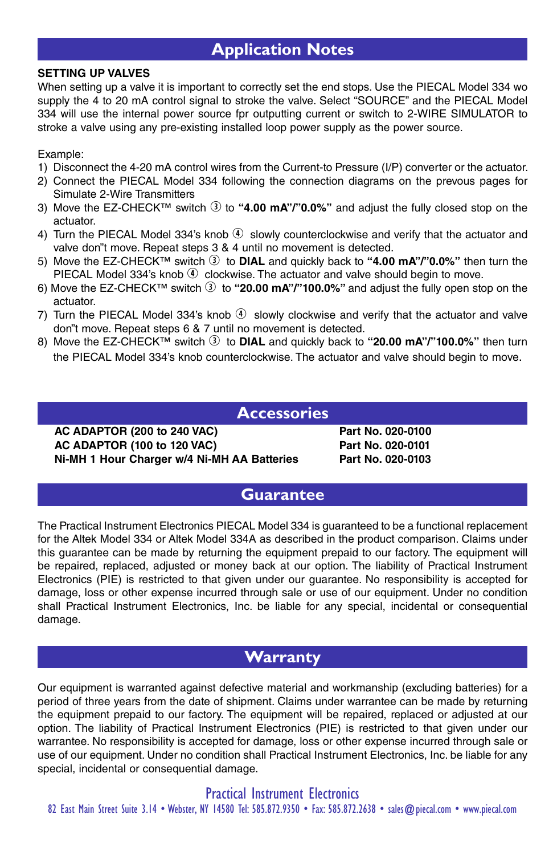## **Application Notes**

#### **SETTING UP VALVES**

When setting up a valve it is important to correctly set the end stops. Use the PIECAL Model 334 wo supply the 4 to 20 mA control signal to stroke the valve. Select "SOURCE" and the PIECAL Model 334 will use the internal power source fpr outputting current or switch to 2-WIRE SIMULATOR to stroke a valve using any pre-existing installed loop power supply as the power source.

Example:

- 1) Disconnect the 4-20 mA control wires from the Current-to Pressure (I/P) converter or the actuator.
- 2) Connect the PIECAL Model 334 following the connection diagrams on the prevous pages for Simulate 2-Wire Transmitters
- 3) Move the EZ-CHECK<sup>™</sup> switch <sup>3</sup> to "4.00 mA"/"0.0%" and adjust the fully closed stop on the actuator.
- 4) Turn the PIECAL Model 334's knob  $\Phi$  slowly counterclockwise and verify that the actuator and valve don"t move. Repeat steps 3 & 4 until no movement is detected.
- 5) Move the EZ-CHECK<sup>™</sup> switch **①** to **DIAL** and quickly back to "4.00 mA"/"0.0%" then turn the PIECAL Model 334's knob  $\Phi$  clockwise. The actuator and valve should begin to move.
- 6) Move the EZ-CHECK<sup>™</sup> switch  $\circled{3}$  to "20.00 mA"/"100.0%" and adjust the fully open stop on the actuator.
- 7) Turn the PIECAL Model 334's knob  $\Phi$  slowly clockwise and verify that the actuator and valve don"t move. Repeat steps 6 & 7 until no movement is detected.
- 8) Move the EZ-CHECK™ switch **①** to **DIAL** and quickly back to **"20.00 mA"/"100.0%"** then turn the PIECAL Model 334's knob counterclockwise. The actuator and valve should begin to move.

**Accessories**

**AC ADAPTOR (200 to 240 VAC) Part No. 020-0100 AC ADAPTOR (100 to 120 VAC) Part No. 020-0101 Ni-MH 1 Hour Charger w/4 Ni-MH AA Batteries Part No. 020-0103**

### **Guarantee**

The Practical Instrument Electronics PIECAL Model 334 is guaranteed to be a functional replacement for the Altek Model 334 or Altek Model 334A as described in the product comparison. Claims under this guarantee can be made by returning the equipment prepaid to our factory. The equipment will be repaired, replaced, adjusted or money back at our option. The liability of Practical Instrument Electronics (PIE) is restricted to that given under our guarantee. No responsibility is accepted for damage, loss or other expense incurred through sale or use of our equipment. Under no condition shall Practical Instrument Electronics, Inc. be liable for any special, incidental or consequential damage.

## **Warranty**

Our equipment is warranted against defective material and workmanship (excluding batteries) for a period of three years from the date of shipment. Claims under warrantee can be made by returning the equipment prepaid to our factory. The equipment will be repaired, replaced or adjusted at our option. The liability of Practical Instrument Electronics (PIE) is restricted to that given under our warrantee. No responsibility is accepted for damage, loss or other expense incurred through sale or use of our equipment. Under no condition shall Practical Instrument Electronics, Inc. be liable for any special, incidental or consequential damage.

Practical Instrument Electronics 82 East Main Street Suite 3.14 • Webster, NY 14580 Tel: 585.872.9350 • Fax: 585.872.2638 • sales@piecal.com • www.piecal.com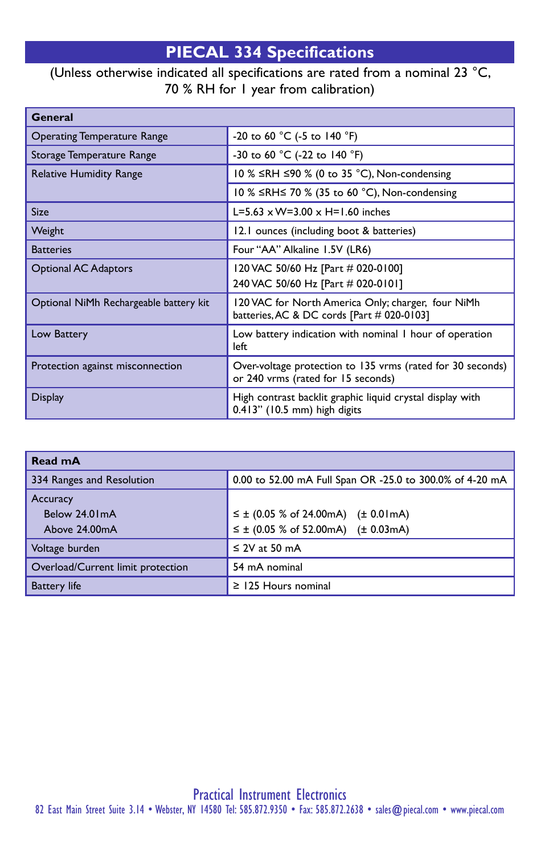# **PIECAL 334 Specifications**

## (Unless otherwise indicated all specifications are rated from a nominal 23 °C, 70 % RH for 1 year from calibration)

| General                                |                                                                                                  |  |
|----------------------------------------|--------------------------------------------------------------------------------------------------|--|
| <b>Operating Temperature Range</b>     | -20 to 60 °C (-5 to 140 °F)                                                                      |  |
| Storage Temperature Range              | -30 to 60 °C (-22 to 140 °F)                                                                     |  |
| <b>Relative Humidity Range</b>         | 10 % ≤RH ≤90 % (0 to 35 °C), Non-condensing                                                      |  |
|                                        | 10 % ≤RH≤ 70 % (35 to 60 °C), Non-condensing                                                     |  |
| <b>Size</b>                            | L=5.63 $\times$ W=3.00 $\times$ H=1.60 inches                                                    |  |
| Weight                                 | 12.1 ounces (including boot & batteries)                                                         |  |
| <b>Batteries</b>                       | Four "AA" Alkaline 1.5V (LR6)                                                                    |  |
| <b>Optional AC Adaptors</b>            | 120 VAC 50/60 Hz [Part # 020-0100]                                                               |  |
|                                        | 240 VAC 50/60 Hz [Part # 020-0101]                                                               |  |
| Optional NiMh Rechargeable battery kit | 120 VAC for North America Only; charger, four NiMh<br>batteries, AC & DC cords [Part # 020-0103] |  |
| Low Battery                            | Low battery indication with nominal I hour of operation<br>left                                  |  |
| Protection against misconnection       | Over-voltage protection to 135 vrms (rated for 30 seconds)<br>or 240 vrms (rated for 15 seconds) |  |
| <b>Display</b>                         | High contrast backlit graphic liquid crystal display with<br>0.413" (10.5 mm) high digits        |  |

| Read mA                                    |                                                                                                      |  |
|--------------------------------------------|------------------------------------------------------------------------------------------------------|--|
| 334 Ranges and Resolution                  | 0.00 to 52.00 mA Full Span OR -25.0 to 300.0% of 4-20 mA                                             |  |
| Accuracy<br>Below 24.01mA<br>Above 24.00mA | $\leq \pm$ (0.05 % of 24.00 mA) ( $\pm$ 0.01 mA)<br>$\leq \pm$ (0.05 % of 52.00 mA) ( $\pm$ 0.03 mA) |  |
| Voltage burden                             | $\leq$ 2V at 50 mA                                                                                   |  |
| Overload/Current limit protection          | 54 mA nominal                                                                                        |  |
| <b>Battery</b> life                        | $\geq$ 125 Hours nominal                                                                             |  |